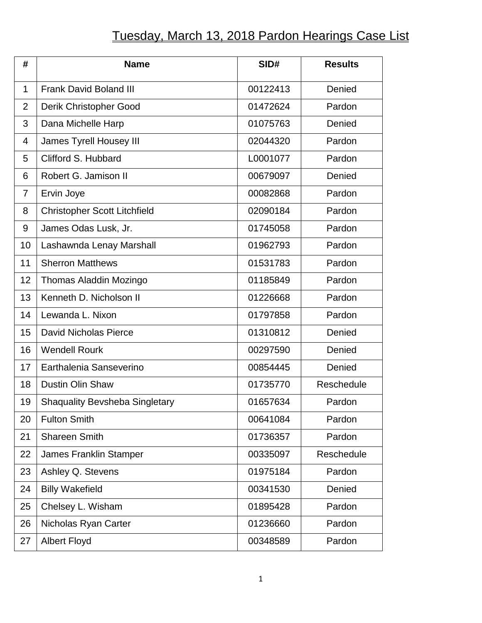## Tuesday, March 13, 2018 Pardon Hearings Case List

| #              | <b>Name</b>                           | SID#     | <b>Results</b> |
|----------------|---------------------------------------|----------|----------------|
| $\mathbf{1}$   | <b>Frank David Boland III</b>         | 00122413 | Denied         |
| $\overline{2}$ | Derik Christopher Good                | 01472624 | Pardon         |
| 3              | Dana Michelle Harp                    | 01075763 | Denied         |
| 4              | <b>James Tyrell Housey III</b>        | 02044320 | Pardon         |
| 5              | Clifford S. Hubbard                   | L0001077 | Pardon         |
| 6              | Robert G. Jamison II                  | 00679097 | Denied         |
| 7              | Ervin Joye                            | 00082868 | Pardon         |
| 8              | <b>Christopher Scott Litchfield</b>   | 02090184 | Pardon         |
| 9              | James Odas Lusk, Jr.                  | 01745058 | Pardon         |
| 10             | Lashawnda Lenay Marshall              | 01962793 | Pardon         |
| 11             | <b>Sherron Matthews</b>               | 01531783 | Pardon         |
| 12             | Thomas Aladdin Mozingo                | 01185849 | Pardon         |
| 13             | Kenneth D. Nicholson II               | 01226668 | Pardon         |
| 14             | Lewanda L. Nixon                      | 01797858 | Pardon         |
| 15             | <b>David Nicholas Pierce</b>          | 01310812 | Denied         |
| 16             | <b>Wendell Rourk</b>                  | 00297590 | Denied         |
| 17             | Earthalenia Sanseverino               | 00854445 | Denied         |
| 18             | <b>Dustin Olin Shaw</b>               | 01735770 | Reschedule     |
| 19             | <b>Shaquality Bevsheba Singletary</b> | 01657634 | Pardon         |
| 20             | <b>Fulton Smith</b>                   | 00641084 | Pardon         |
| 21             | <b>Shareen Smith</b>                  | 01736357 | Pardon         |
| 22             | <b>James Franklin Stamper</b>         | 00335097 | Reschedule     |
| 23             | Ashley Q. Stevens                     | 01975184 | Pardon         |
| 24             | <b>Billy Wakefield</b>                | 00341530 | Denied         |
| 25             | Chelsey L. Wisham                     | 01895428 | Pardon         |
| 26             | Nicholas Ryan Carter                  | 01236660 | Pardon         |
| 27             | <b>Albert Floyd</b>                   | 00348589 | Pardon         |